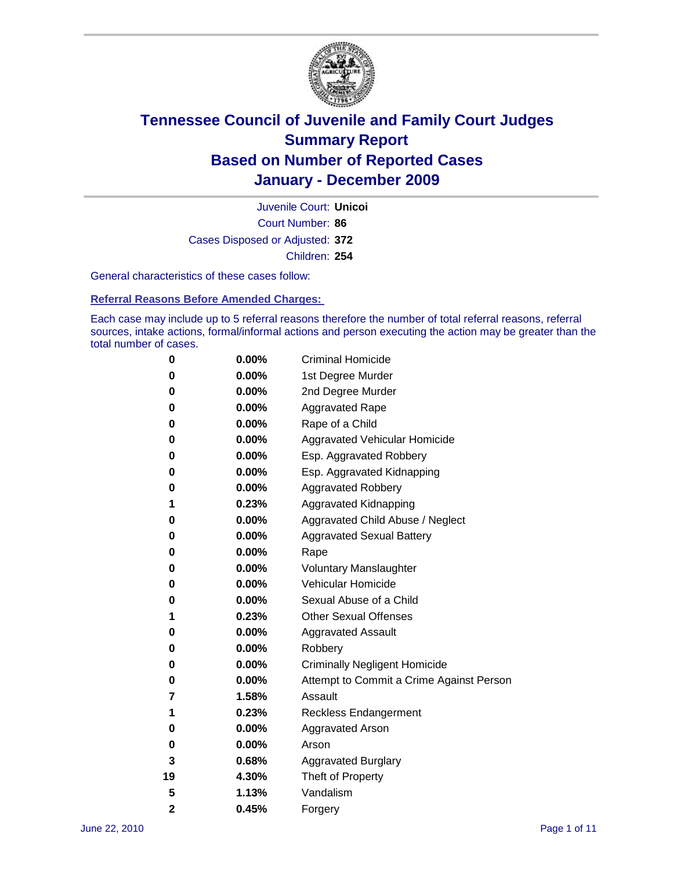

Court Number: **86** Juvenile Court: **Unicoi** Cases Disposed or Adjusted: **372** Children: **254**

General characteristics of these cases follow:

**Referral Reasons Before Amended Charges:** 

Each case may include up to 5 referral reasons therefore the number of total referral reasons, referral sources, intake actions, formal/informal actions and person executing the action may be greater than the total number of cases.

| 0              | 0.00%    | <b>Criminal Homicide</b>                 |
|----------------|----------|------------------------------------------|
| 0              | 0.00%    | 1st Degree Murder                        |
| 0              | 0.00%    | 2nd Degree Murder                        |
| 0              | 0.00%    | <b>Aggravated Rape</b>                   |
| 0              | 0.00%    | Rape of a Child                          |
| 0              | 0.00%    | Aggravated Vehicular Homicide            |
| 0              | 0.00%    | Esp. Aggravated Robbery                  |
| 0              | 0.00%    | Esp. Aggravated Kidnapping               |
| 0              | 0.00%    | <b>Aggravated Robbery</b>                |
| 1              | 0.23%    | Aggravated Kidnapping                    |
| 0              | 0.00%    | Aggravated Child Abuse / Neglect         |
| 0              | $0.00\%$ | <b>Aggravated Sexual Battery</b>         |
| 0              | 0.00%    | Rape                                     |
| 0              | $0.00\%$ | <b>Voluntary Manslaughter</b>            |
| 0              | 0.00%    | Vehicular Homicide                       |
| 0              | 0.00%    | Sexual Abuse of a Child                  |
| 1              | 0.23%    | <b>Other Sexual Offenses</b>             |
| 0              | 0.00%    | <b>Aggravated Assault</b>                |
| 0              | $0.00\%$ | Robbery                                  |
| 0              | 0.00%    | <b>Criminally Negligent Homicide</b>     |
| 0              | 0.00%    | Attempt to Commit a Crime Against Person |
| 7              | 1.58%    | Assault                                  |
| 1              | 0.23%    | <b>Reckless Endangerment</b>             |
| 0              | 0.00%    | <b>Aggravated Arson</b>                  |
| 0              | 0.00%    | Arson                                    |
| 3              | 0.68%    | <b>Aggravated Burglary</b>               |
| 19             | 4.30%    | Theft of Property                        |
| 5              | 1.13%    | Vandalism                                |
| $\overline{2}$ | 0.45%    | Forgery                                  |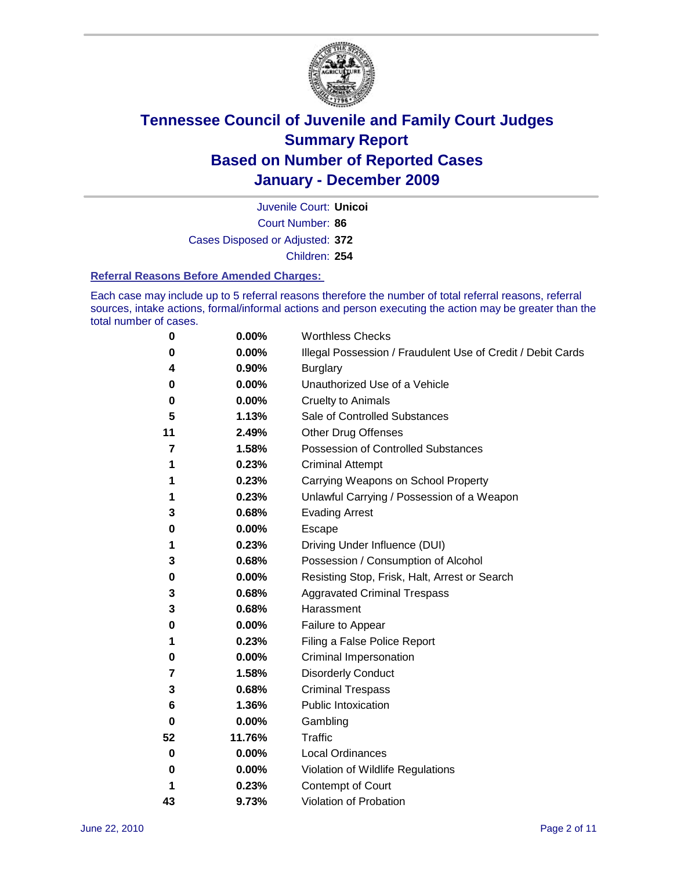

Court Number: **86** Juvenile Court: **Unicoi** Cases Disposed or Adjusted: **372** Children: **254**

#### **Referral Reasons Before Amended Charges:**

Each case may include up to 5 referral reasons therefore the number of total referral reasons, referral sources, intake actions, formal/informal actions and person executing the action may be greater than the total number of cases.

| 0  | 0.00%    | <b>Worthless Checks</b>                                     |
|----|----------|-------------------------------------------------------------|
| 0  | 0.00%    | Illegal Possession / Fraudulent Use of Credit / Debit Cards |
| 4  | 0.90%    | <b>Burglary</b>                                             |
| 0  | 0.00%    | Unauthorized Use of a Vehicle                               |
| 0  | $0.00\%$ | <b>Cruelty to Animals</b>                                   |
| 5  | 1.13%    | Sale of Controlled Substances                               |
| 11 | 2.49%    | <b>Other Drug Offenses</b>                                  |
| 7  | 1.58%    | <b>Possession of Controlled Substances</b>                  |
| 1  | 0.23%    | <b>Criminal Attempt</b>                                     |
| 1  | 0.23%    | Carrying Weapons on School Property                         |
| 1  | 0.23%    | Unlawful Carrying / Possession of a Weapon                  |
| 3  | 0.68%    | <b>Evading Arrest</b>                                       |
| 0  | $0.00\%$ | Escape                                                      |
| 1  | 0.23%    | Driving Under Influence (DUI)                               |
| 3  | 0.68%    | Possession / Consumption of Alcohol                         |
| 0  | $0.00\%$ | Resisting Stop, Frisk, Halt, Arrest or Search               |
| 3  | 0.68%    | <b>Aggravated Criminal Trespass</b>                         |
| 3  | 0.68%    | Harassment                                                  |
| 0  | 0.00%    | Failure to Appear                                           |
| 1  | 0.23%    | Filing a False Police Report                                |
| 0  | 0.00%    | Criminal Impersonation                                      |
| 7  | 1.58%    | <b>Disorderly Conduct</b>                                   |
| 3  | 0.68%    | <b>Criminal Trespass</b>                                    |
| 6  | 1.36%    | <b>Public Intoxication</b>                                  |
| 0  | 0.00%    | Gambling                                                    |
| 52 | 11.76%   | Traffic                                                     |
| 0  | 0.00%    | <b>Local Ordinances</b>                                     |
| 0  | 0.00%    | Violation of Wildlife Regulations                           |
| 1  | 0.23%    | Contempt of Court                                           |
| 43 | 9.73%    | Violation of Probation                                      |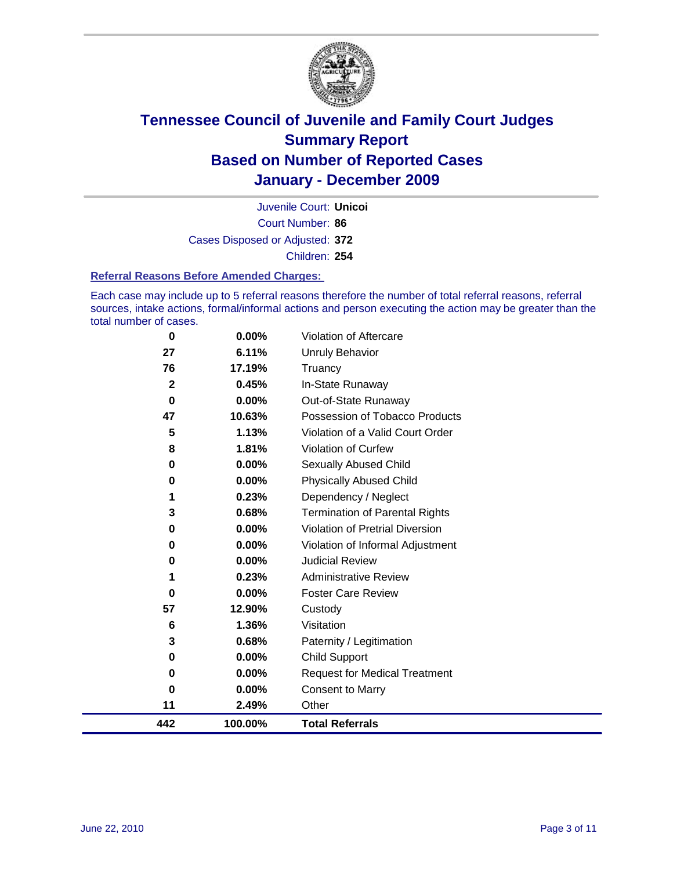

Court Number: **86** Juvenile Court: **Unicoi** Cases Disposed or Adjusted: **372** Children: **254**

#### **Referral Reasons Before Amended Charges:**

Each case may include up to 5 referral reasons therefore the number of total referral reasons, referral sources, intake actions, formal/informal actions and person executing the action may be greater than the total number of cases.

| 442         | 100.00%  | <b>Total Referrals</b>                 |
|-------------|----------|----------------------------------------|
| 11          | 2.49%    | Other                                  |
| 0           | 0.00%    | Consent to Marry                       |
| 0           | 0.00%    | <b>Request for Medical Treatment</b>   |
| 0           | 0.00%    | <b>Child Support</b>                   |
| 3           | 0.68%    | Paternity / Legitimation               |
| 6           | 1.36%    | Visitation                             |
| 57          | 12.90%   | Custody                                |
| 0           | 0.00%    | <b>Foster Care Review</b>              |
| 1           | 0.23%    | <b>Administrative Review</b>           |
| 0           | 0.00%    | <b>Judicial Review</b>                 |
| 0           | 0.00%    | Violation of Informal Adjustment       |
| 0           | 0.00%    | <b>Violation of Pretrial Diversion</b> |
| 3           | 0.68%    | <b>Termination of Parental Rights</b>  |
| 1           | 0.23%    | Dependency / Neglect                   |
| $\mathbf 0$ | 0.00%    | <b>Physically Abused Child</b>         |
| 0           | 0.00%    | <b>Sexually Abused Child</b>           |
| 8           | 1.81%    | <b>Violation of Curfew</b>             |
| 5           | 1.13%    | Violation of a Valid Court Order       |
| 47          | 10.63%   | Possession of Tobacco Products         |
| $\bf{0}$    | $0.00\%$ | Out-of-State Runaway                   |
| $\mathbf 2$ | 0.45%    | In-State Runaway                       |
| 76          | 17.19%   | Unruly Behavior<br>Truancy             |
| 27          | 6.11%    |                                        |
| $\bf{0}$    | 0.00%    | Violation of Aftercare                 |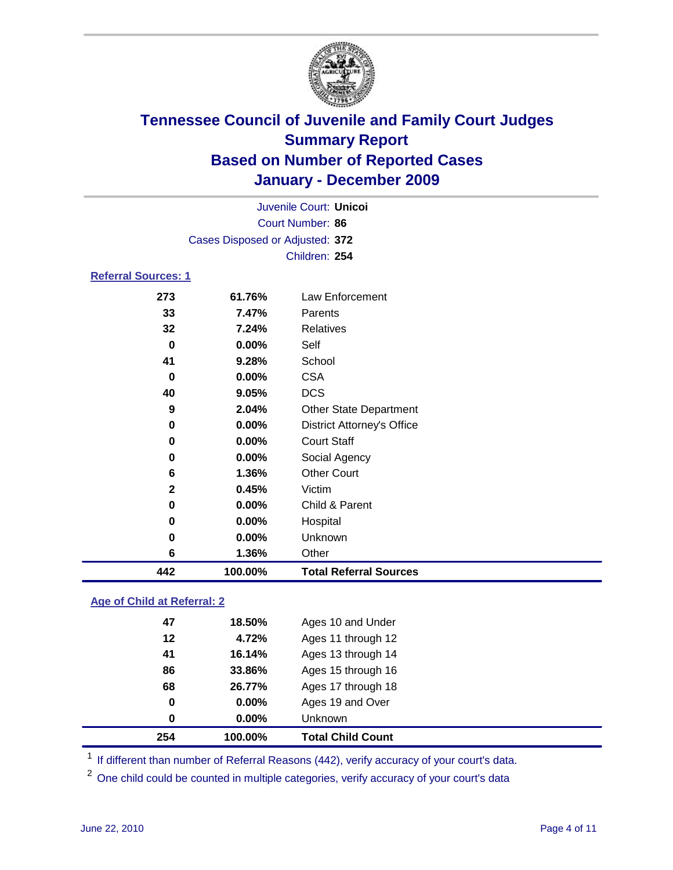

|                            | Juvenile Court: Unicoi          |                                   |  |  |
|----------------------------|---------------------------------|-----------------------------------|--|--|
|                            | Court Number: 86                |                                   |  |  |
|                            | Cases Disposed or Adjusted: 372 |                                   |  |  |
|                            |                                 | Children: 254                     |  |  |
| <b>Referral Sources: 1</b> |                                 |                                   |  |  |
| 273                        | 61.76%                          | <b>Law Enforcement</b>            |  |  |
| 33                         | 7.47%                           | Parents                           |  |  |
| 32                         | 7.24%                           | <b>Relatives</b>                  |  |  |
| $\bf{0}$                   | 0.00%                           | Self                              |  |  |
| 41                         | 9.28%                           | School                            |  |  |
| 0                          | 0.00%                           | <b>CSA</b>                        |  |  |
| 40                         | 9.05%                           | <b>DCS</b>                        |  |  |
| 9                          | 2.04%                           | Other State Department            |  |  |
| 0                          | 0.00%                           | <b>District Attorney's Office</b> |  |  |
| 0                          | 0.00%                           | <b>Court Staff</b>                |  |  |
| 0                          | 0.00%                           | Social Agency                     |  |  |
| 6                          | 1.36%                           | <b>Other Court</b>                |  |  |
| $\overline{2}$             | 0.45%                           | Victim                            |  |  |
| 0                          | 0.00%                           | Child & Parent                    |  |  |
| 0                          | 0.00%                           | Hospital                          |  |  |
| 0                          | 0.00%                           | <b>Unknown</b>                    |  |  |
| 6                          | 1.36%                           | Other                             |  |  |
| 442                        | 100.00%                         | <b>Total Referral Sources</b>     |  |  |

#### **Age of Child at Referral: 2**

| 86<br>68<br>0<br>$\bf{0}$ | 33.86%<br>26.77%<br>0.00%<br>0.00% | Ages 15 through 16<br>Ages 17 through 18<br>Ages 19 and Over<br><b>Unknown</b> |
|---------------------------|------------------------------------|--------------------------------------------------------------------------------|
|                           |                                    |                                                                                |
|                           |                                    |                                                                                |
|                           |                                    |                                                                                |
|                           |                                    |                                                                                |
| 41                        | 16.14%                             | Ages 13 through 14                                                             |
| 12                        | 4.72%                              | Ages 11 through 12                                                             |
| 47                        | 18.50%                             | Ages 10 and Under                                                              |
|                           |                                    |                                                                                |

<sup>1</sup> If different than number of Referral Reasons (442), verify accuracy of your court's data.

<sup>2</sup> One child could be counted in multiple categories, verify accuracy of your court's data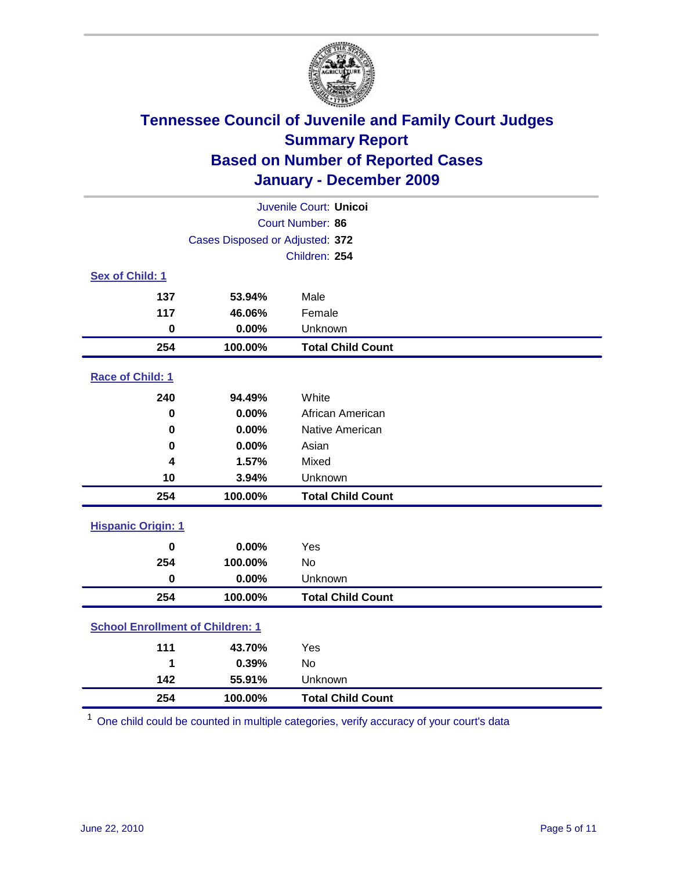

| Juvenile Court: Unicoi                  |                                 |                          |  |  |
|-----------------------------------------|---------------------------------|--------------------------|--|--|
| Court Number: 86                        |                                 |                          |  |  |
|                                         | Cases Disposed or Adjusted: 372 |                          |  |  |
|                                         |                                 | Children: 254            |  |  |
| Sex of Child: 1                         |                                 |                          |  |  |
| 137                                     | 53.94%                          | Male                     |  |  |
| 117                                     | 46.06%                          | Female                   |  |  |
| $\mathbf 0$                             | 0.00%                           | Unknown                  |  |  |
| 254                                     | 100.00%                         | <b>Total Child Count</b> |  |  |
| Race of Child: 1                        |                                 |                          |  |  |
| 240                                     | 94.49%                          | White                    |  |  |
| 0                                       | 0.00%                           | African American         |  |  |
| 0                                       | 0.00%                           | Native American          |  |  |
| $\mathbf 0$                             | 0.00%                           | Asian                    |  |  |
| 4                                       | 1.57%                           | Mixed                    |  |  |
| 10                                      | 3.94%                           | Unknown                  |  |  |
| 254                                     | 100.00%                         | <b>Total Child Count</b> |  |  |
| <b>Hispanic Origin: 1</b>               |                                 |                          |  |  |
| $\mathbf 0$                             | 0.00%                           | Yes                      |  |  |
| 254                                     | 100.00%                         | No                       |  |  |
| $\mathbf 0$                             | 0.00%                           | Unknown                  |  |  |
| 254                                     | 100.00%                         | <b>Total Child Count</b> |  |  |
| <b>School Enrollment of Children: 1</b> |                                 |                          |  |  |
| 111                                     | 43.70%                          | Yes                      |  |  |
| 1                                       | 0.39%                           | No                       |  |  |
| 142                                     | 55.91%                          | Unknown                  |  |  |
| 254                                     | 100.00%                         | <b>Total Child Count</b> |  |  |

One child could be counted in multiple categories, verify accuracy of your court's data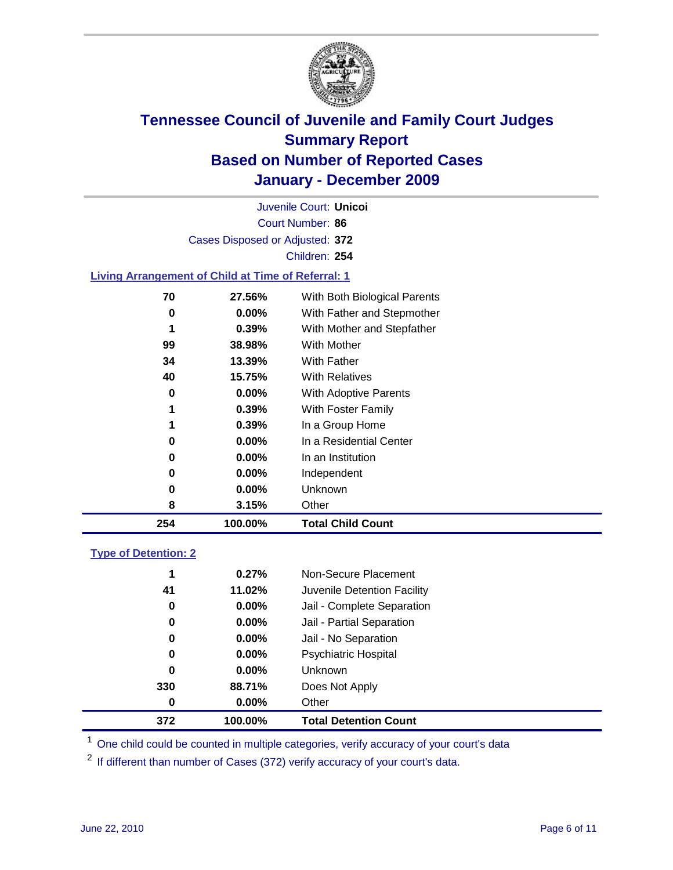

Court Number: **86** Juvenile Court: **Unicoi** Cases Disposed or Adjusted: **372** Children: **254**

#### **Living Arrangement of Child at Time of Referral: 1**

| 254 | 100.00%  | <b>Total Child Count</b>     |
|-----|----------|------------------------------|
| 8   | 3.15%    | Other                        |
| 0   | 0.00%    | Unknown                      |
| 0   | $0.00\%$ | Independent                  |
| 0   | $0.00\%$ | In an Institution            |
| 0   | $0.00\%$ | In a Residential Center      |
| 1   | 0.39%    | In a Group Home              |
| 1   | 0.39%    | With Foster Family           |
| 0   | 0.00%    | With Adoptive Parents        |
| 40  | 15.75%   | <b>With Relatives</b>        |
| 34  | 13.39%   | <b>With Father</b>           |
| 99  | 38.98%   | With Mother                  |
| 1   | 0.39%    | With Mother and Stepfather   |
| 0   | $0.00\%$ | With Father and Stepmother   |
| 70  | 27.56%   | With Both Biological Parents |
|     |          |                              |

#### **Type of Detention: 2**

| 372 | 100.00%  | <b>Total Detention Count</b> |  |
|-----|----------|------------------------------|--|
| 0   | 0.00%    | Other                        |  |
| 330 | 88.71%   | Does Not Apply               |  |
| 0   | $0.00\%$ | <b>Unknown</b>               |  |
| 0   | $0.00\%$ | Psychiatric Hospital         |  |
| 0   | 0.00%    | Jail - No Separation         |  |
| 0   | $0.00\%$ | Jail - Partial Separation    |  |
| 0   | $0.00\%$ | Jail - Complete Separation   |  |
| 41  | 11.02%   | Juvenile Detention Facility  |  |
| 1   | 0.27%    | Non-Secure Placement         |  |
|     |          |                              |  |

<sup>1</sup> One child could be counted in multiple categories, verify accuracy of your court's data

<sup>2</sup> If different than number of Cases (372) verify accuracy of your court's data.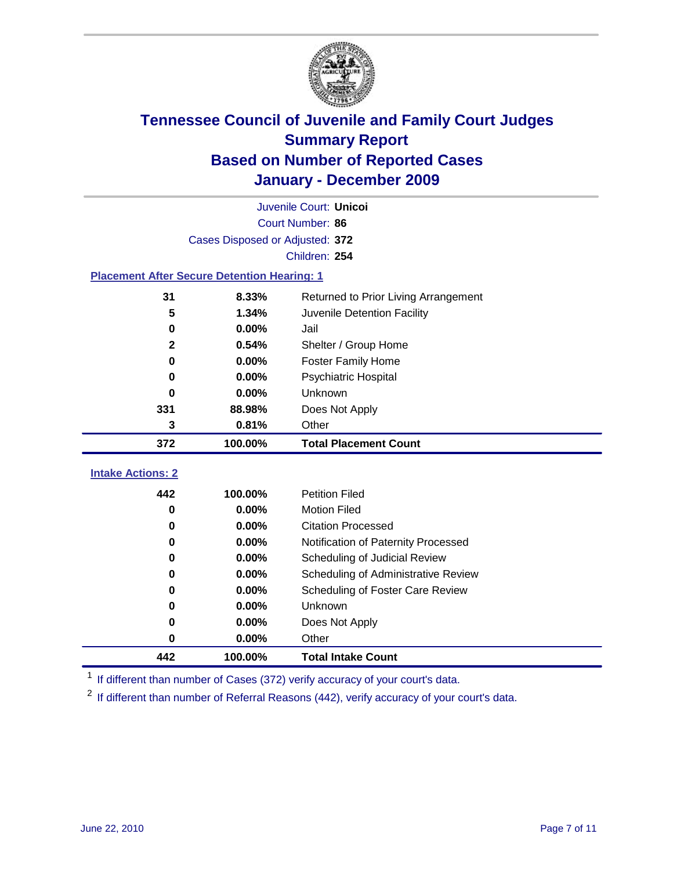

|                                                    | Juvenile Court: Unicoi          |                                      |  |  |  |
|----------------------------------------------------|---------------------------------|--------------------------------------|--|--|--|
|                                                    | Court Number: 86                |                                      |  |  |  |
|                                                    | Cases Disposed or Adjusted: 372 |                                      |  |  |  |
|                                                    | Children: 254                   |                                      |  |  |  |
| <b>Placement After Secure Detention Hearing: 1</b> |                                 |                                      |  |  |  |
| 31                                                 | 8.33%                           | Returned to Prior Living Arrangement |  |  |  |
| 5                                                  | 1.34%                           | Juvenile Detention Facility          |  |  |  |
| $\mathbf 0$                                        | 0.00%                           | Jail                                 |  |  |  |
| $\mathbf{2}$                                       | 0.54%                           | Shelter / Group Home                 |  |  |  |
| $\bf{0}$                                           | 0.00%                           | <b>Foster Family Home</b>            |  |  |  |
| 0                                                  | 0.00%                           | Psychiatric Hospital                 |  |  |  |
| 0                                                  | 0.00%                           | Unknown                              |  |  |  |
| 331                                                | 88.98%                          | Does Not Apply                       |  |  |  |
| 3                                                  | 0.81%                           | Other                                |  |  |  |
| 372                                                | 100.00%                         | <b>Total Placement Count</b>         |  |  |  |
| <b>Intake Actions: 2</b>                           |                                 |                                      |  |  |  |
| 442                                                | 100.00%                         | <b>Petition Filed</b>                |  |  |  |
| $\bf{0}$                                           | 0.00%                           | <b>Motion Filed</b>                  |  |  |  |
| $\bf{0}$                                           | 0.00%                           |                                      |  |  |  |
|                                                    |                                 | <b>Citation Processed</b>            |  |  |  |
| 0                                                  | 0.00%                           | Notification of Paternity Processed  |  |  |  |
| $\bf{0}$                                           | 0.00%                           | Scheduling of Judicial Review        |  |  |  |
| 0                                                  | 0.00%                           | Scheduling of Administrative Review  |  |  |  |
| 0                                                  | 0.00%                           | Scheduling of Foster Care Review     |  |  |  |
| 0                                                  | 0.00%                           | Unknown                              |  |  |  |
| 0                                                  | 0.00%                           | Does Not Apply                       |  |  |  |
| 0                                                  | 0.00%                           | Other                                |  |  |  |

<sup>1</sup> If different than number of Cases (372) verify accuracy of your court's data.

<sup>2</sup> If different than number of Referral Reasons (442), verify accuracy of your court's data.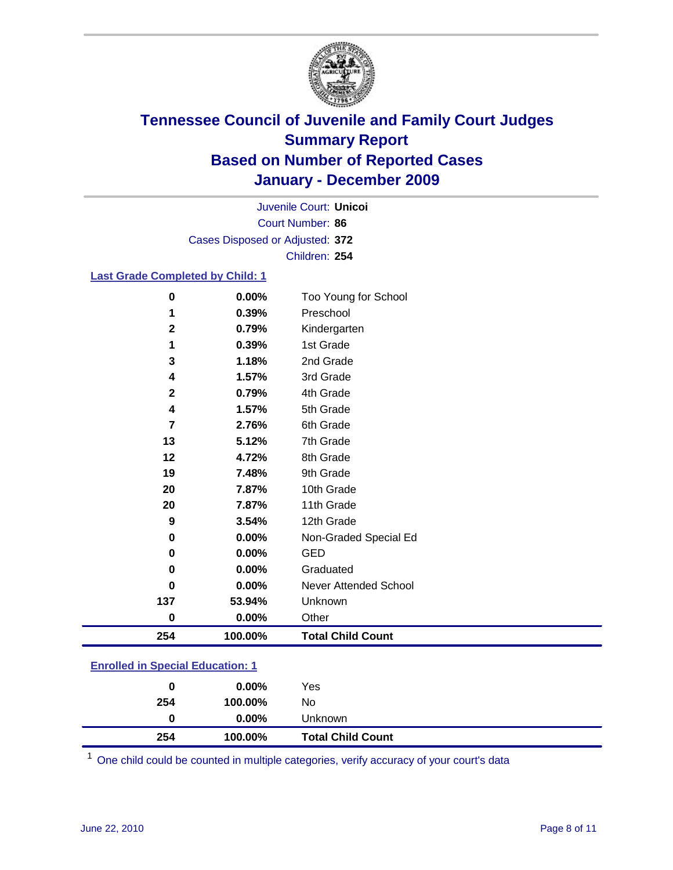

Court Number: **86** Juvenile Court: **Unicoi** Cases Disposed or Adjusted: **372** Children: **254**

#### **Last Grade Completed by Child: 1**

| 0            | 0.00%   | Too Young for School     |
|--------------|---------|--------------------------|
| 1            | 0.39%   | Preschool                |
| 2            | 0.79%   | Kindergarten             |
|              | 0.39%   | 1st Grade                |
| 3            | 1.18%   | 2nd Grade                |
| 4            | 1.57%   | 3rd Grade                |
| $\mathbf{2}$ | 0.79%   | 4th Grade                |
| 4            | 1.57%   | 5th Grade                |
| 7            | 2.76%   | 6th Grade                |
| 13           | 5.12%   | 7th Grade                |
| 12           | 4.72%   | 8th Grade                |
| 19           | 7.48%   | 9th Grade                |
| 20           | 7.87%   | 10th Grade               |
| 20           | 7.87%   | 11th Grade               |
| 9            | 3.54%   | 12th Grade               |
| 0            | 0.00%   | Non-Graded Special Ed    |
| 0            | 0.00%   | <b>GED</b>               |
| 0            | 0.00%   | Graduated                |
| 0            | 0.00%   | Never Attended School    |
| 137          | 53.94%  | Unknown                  |
| 0            | 0.00%   | Other                    |
| 254          | 100.00% | <b>Total Child Count</b> |
|              |         |                          |

### **Enrolled in Special Education: 1**

| 0   | $0.00\%$ | Yes                      |
|-----|----------|--------------------------|
| 254 | 100.00%  | No                       |
|     | $0.00\%$ | Unknown                  |
| 254 | 100.00%  | <b>Total Child Count</b> |

One child could be counted in multiple categories, verify accuracy of your court's data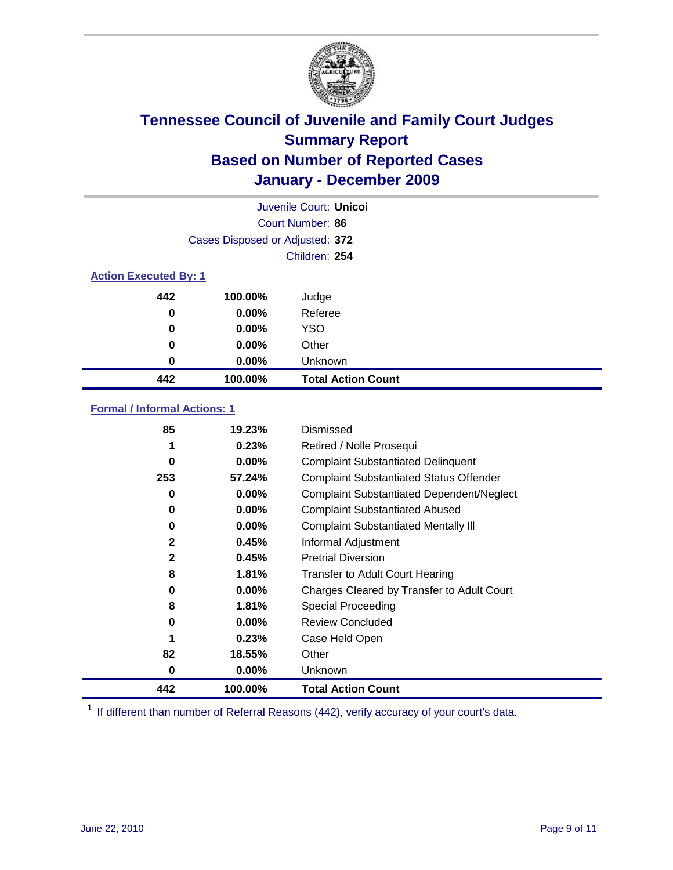

|     | Juvenile Court: Unicol          |                           |  |  |  |
|-----|---------------------------------|---------------------------|--|--|--|
|     |                                 | Court Number: 86          |  |  |  |
|     | Cases Disposed or Adjusted: 372 |                           |  |  |  |
|     |                                 | Children: 254             |  |  |  |
|     | <b>Action Executed By: 1</b>    |                           |  |  |  |
| 442 | 100.00%                         | Judge                     |  |  |  |
| 0   | 0.00%                           | Referee                   |  |  |  |
| 0   | 0.00%                           | <b>YSO</b>                |  |  |  |
| 0   | 0.00%                           | Other                     |  |  |  |
| 0   | 0.00%                           | Unknown                   |  |  |  |
| 442 | 100.00%                         | <b>Total Action Count</b> |  |  |  |

#### **Formal / Informal Actions: 1**

| 85           | 19.23%   | Dismissed                                        |
|--------------|----------|--------------------------------------------------|
|              | 0.23%    | Retired / Nolle Prosequi                         |
| 0            | $0.00\%$ | <b>Complaint Substantiated Delinquent</b>        |
| 253          | 57.24%   | <b>Complaint Substantiated Status Offender</b>   |
| 0            | 0.00%    | <b>Complaint Substantiated Dependent/Neglect</b> |
| 0            | 0.00%    | <b>Complaint Substantiated Abused</b>            |
| 0            | $0.00\%$ | <b>Complaint Substantiated Mentally III</b>      |
| $\mathbf{2}$ | 0.45%    | Informal Adjustment                              |
| $\mathbf{2}$ | 0.45%    | <b>Pretrial Diversion</b>                        |
| 8            | 1.81%    | <b>Transfer to Adult Court Hearing</b>           |
| 0            | $0.00\%$ | Charges Cleared by Transfer to Adult Court       |
| 8            | 1.81%    | Special Proceeding                               |
| 0            | $0.00\%$ | <b>Review Concluded</b>                          |
|              | 0.23%    | Case Held Open                                   |
| 82           | 18.55%   | Other                                            |
| 0            | 0.00%    | <b>Unknown</b>                                   |
| 442          | 100.00%  | <b>Total Action Count</b>                        |

<sup>1</sup> If different than number of Referral Reasons (442), verify accuracy of your court's data.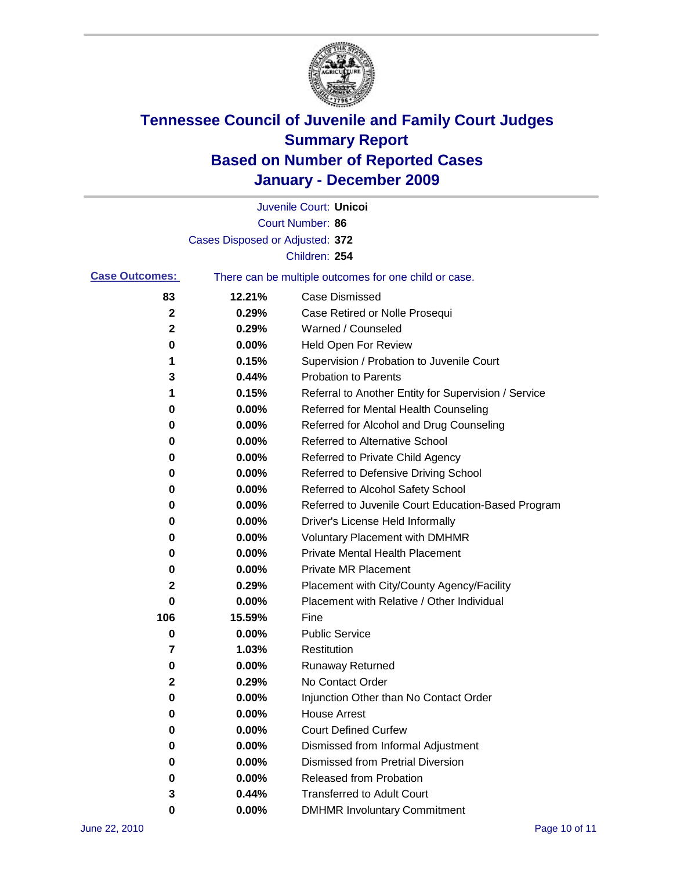

|                       |                                 | Juvenile Court: Unicoi                                |
|-----------------------|---------------------------------|-------------------------------------------------------|
|                       |                                 | Court Number: 86                                      |
|                       | Cases Disposed or Adjusted: 372 |                                                       |
|                       |                                 | Children: 254                                         |
| <b>Case Outcomes:</b> |                                 | There can be multiple outcomes for one child or case. |
| 83                    | 12.21%                          | <b>Case Dismissed</b>                                 |
| 2                     | 0.29%                           | Case Retired or Nolle Prosequi                        |
| 2                     | 0.29%                           | Warned / Counseled                                    |
| 0                     | 0.00%                           | Held Open For Review                                  |
| 1                     | 0.15%                           | Supervision / Probation to Juvenile Court             |
| 3                     | 0.44%                           | <b>Probation to Parents</b>                           |
| 1                     | 0.15%                           | Referral to Another Entity for Supervision / Service  |
| 0                     | 0.00%                           | Referred for Mental Health Counseling                 |
| 0                     | 0.00%                           | Referred for Alcohol and Drug Counseling              |
| 0                     | 0.00%                           | <b>Referred to Alternative School</b>                 |
| 0                     | 0.00%                           | Referred to Private Child Agency                      |
| 0                     | 0.00%                           | Referred to Defensive Driving School                  |
| 0                     | 0.00%                           | Referred to Alcohol Safety School                     |
| 0                     | 0.00%                           | Referred to Juvenile Court Education-Based Program    |
| 0                     | 0.00%                           | Driver's License Held Informally                      |
| 0                     | 0.00%                           | <b>Voluntary Placement with DMHMR</b>                 |
| 0                     | 0.00%                           | <b>Private Mental Health Placement</b>                |
| 0                     | 0.00%                           | <b>Private MR Placement</b>                           |
| 2                     | 0.29%                           | Placement with City/County Agency/Facility            |
| 0                     | 0.00%                           | Placement with Relative / Other Individual            |
| 106                   | 15.59%                          | Fine                                                  |
| 0                     | 0.00%                           | <b>Public Service</b>                                 |
| 7                     | 1.03%                           | Restitution                                           |
| 0                     | 0.00%                           | <b>Runaway Returned</b>                               |
| 2                     | 0.29%                           | No Contact Order                                      |
| 0                     | 0.00%                           | Injunction Other than No Contact Order                |
| 0                     | 0.00%                           | <b>House Arrest</b>                                   |
| 0                     | 0.00%                           | <b>Court Defined Curfew</b>                           |
| 0                     | 0.00%                           | Dismissed from Informal Adjustment                    |
| 0                     | 0.00%                           | <b>Dismissed from Pretrial Diversion</b>              |
| 0                     | 0.00%                           | Released from Probation                               |
| 3                     | 0.44%                           | <b>Transferred to Adult Court</b>                     |
| 0                     | 0.00%                           | <b>DMHMR Involuntary Commitment</b>                   |